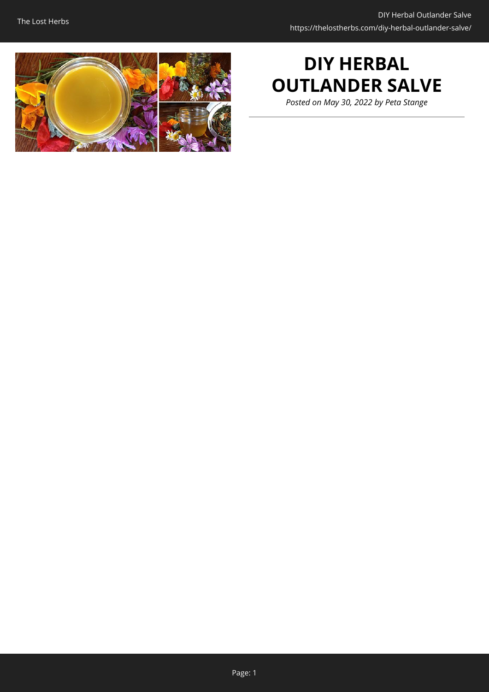

# **DIY HERBAL OUTLANDER SALVE**

*Posted on May 30, 2022 by Peta Stange*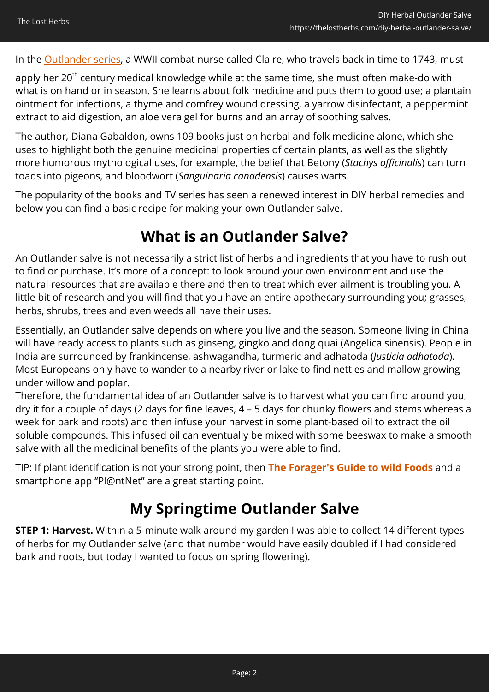In the **Outlander series**, a WWII combat nurse called Claire, who travels back in time to 1743, must

apply her 20<sup>th</sup> century medical knowledge while at the same time, she must often make-do with what is on hand or in season. She learns about folk medicine and puts them to good use; a plantain ointment for infections, a thyme and comfrey wound dressing, a yarrow disinfectant, a peppermint extract to aid digestion, an aloe vera gel for burns and an array of soothing salves.

The author, Diana Gabaldon, owns 109 books just on herbal and folk medicine alone, which she uses to highlight both the genuine medicinal properties of certain plants, as well as the slightly more humorous mythological uses, for example, the belief that Betony (*Stachys officinalis*) can turn toads into pigeons, and bloodwort (*Sanguinaria canadensis*) causes warts.

The popularity of the books and TV series has seen a renewed interest in DIY herbal remedies and below you can find a basic recipe for making your own Outlander salve.

### **What is an Outlander Salve?**

An Outlander salve is not necessarily a strict list of herbs and ingredients that you have to rush out to find or purchase. It's more of a concept: to look around your own environment and use the natural resources that are available there and then to treat which ever ailment is troubling you. A little bit of research and you will find that you have an entire apothecary surrounding you; grasses, herbs, shrubs, trees and even weeds all have their uses.

Essentially, an Outlander salve depends on where you live and the season. Someone living in China will have ready access to plants such as ginseng, gingko and dong quai (Angelica sinensis). People in India are surrounded by frankincense, ashwagandha, turmeric and adhatoda (*Justicia adhatoda*). Most Europeans only have to wander to a nearby river or lake to find nettles and mallow growing under willow and poplar.

Therefore, the fundamental idea of an Outlander salve is to harvest what you can find around you, dry it for a couple of days (2 days for fine leaves, 4 – 5 days for chunky flowers and stems whereas a week for bark and roots) and then infuse your harvest in some plant-based oil to extract the oil soluble compounds. This infused oil can eventually be mixed with some beeswax to make a smooth salve with all the medicinal benefits of the plants you were able to find.

TIP: If plant identification is not your strong point, then **[The Forager's Guide to wild Foods](https://hop.clickbank.net/?affiliate=easycellar&vendor=wfguide&tid=C02OutlanderSalveFGW)** and a smartphone app "Pl@ntNet" are a great starting point.

### **My Springtime Outlander Salve**

**STEP 1: Harvest.** Within a 5-minute walk around my garden I was able to collect 14 different types of herbs for my Outlander salve (and that number would have easily doubled if I had considered bark and roots, but today I wanted to focus on spring flowering).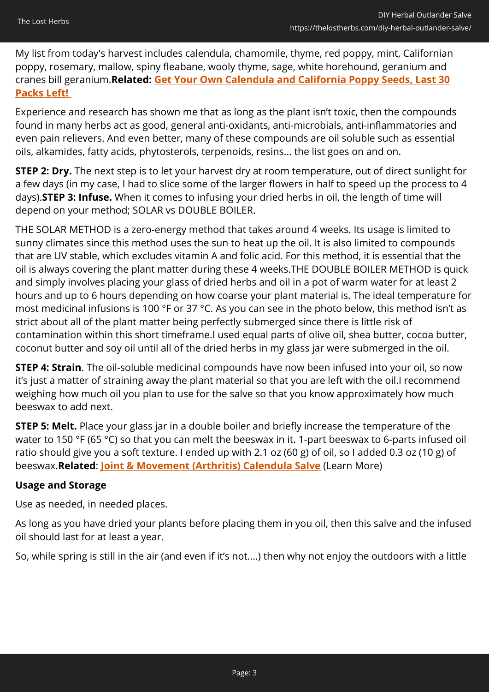My list from today's harvest includes calendula, chamomile, thyme, red poppy, mint, Californian poppy, rosemary, mallow, spiny fleabane, wooly thyme, sage, white horehound, geranium and cranes bill geranium.**Related: [Get Your Own Calendula and California Poppy Seeds, Last 30](https://hop.clickbank.net/?affiliate=easycellar&vendor=bookofren&tid=C02OutlanderSalveMK1) [Packs Left!](https://hop.clickbank.net/?affiliate=easycellar&vendor=bookofren&tid=C02OutlanderSalveMK1)** 

Experience and research has shown me that as long as the plant isn't toxic, then the compounds found in many herbs act as good, general anti-oxidants, anti-microbials, anti-inflammatories and even pain relievers. And even better, many of these compounds are oil soluble such as essential oils, alkamides, fatty acids, phytosterols, terpenoids, resins... the list goes on and on.

**STEP 2: Dry.** The next step is to let your harvest dry at room temperature, out of direct sunlight for a few days (in my case, I had to slice some of the larger flowers in half to speed up the process to 4 days).**STEP 3: Infuse.** When it comes to infusing your dried herbs in oil, the length of time will depend on your method; SOLAR vs DOUBLE BOILER.

THE SOLAR METHOD is a zero-energy method that takes around 4 weeks. Its usage is limited to sunny climates since this method uses the sun to heat up the oil. It is also limited to compounds that are UV stable, which excludes vitamin A and folic acid. For this method, it is essential that the oil is always covering the plant matter during these 4 weeks.THE DOUBLE BOILER METHOD is quick and simply involves placing your glass of dried herbs and oil in a pot of warm water for at least 2 hours and up to 6 hours depending on how coarse your plant material is. The ideal temperature for most medicinal infusions is 100 °F or 37 °C. As you can see in the photo below, this method isn't as strict about all of the plant matter being perfectly submerged since there is little risk of contamination within this short timeframe.I used equal parts of olive oil, shea butter, cocoa butter, coconut butter and soy oil until all of the dried herbs in my glass jar were submerged in the oil.

**STEP 4: Strain**. The oil-soluble medicinal compounds have now been infused into your oil, so now it's just a matter of straining away the plant material so that you are left with the oil.I recommend weighing how much oil you plan to use for the salve so that you know approximately how much beeswax to add next.

**STEP 5: Melt.** Place your glass jar in a double boiler and briefly increase the temperature of the water to 150 °F (65 °C) so that you can melt the beeswax in it. 1-part beeswax to 6-parts infused oil ratio should give you a soft texture. I ended up with 2.1 oz (60 g) of oil, so I added 0.3 oz (10 g) of beeswax.**Related**: **[Joint & Movement \(Arthritis\) Calendula Salve](https://nicolesapothecary.com/products/joint-movement-arthritis-salve?rfsn=5642246.05c3d29&utm_source=refersion&utm_medium=affiliate&utm_campaign=5642246.05c3d29&subid=C02OutlanderSalve)** (Learn More)

#### **Usage and Storage**

Use as needed, in needed places.

As long as you have dried your plants before placing them in you oil, then this salve and the infused oil should last for at least a year.

So, while spring is still in the air (and even if it's not....) then why not enjoy the outdoors with a little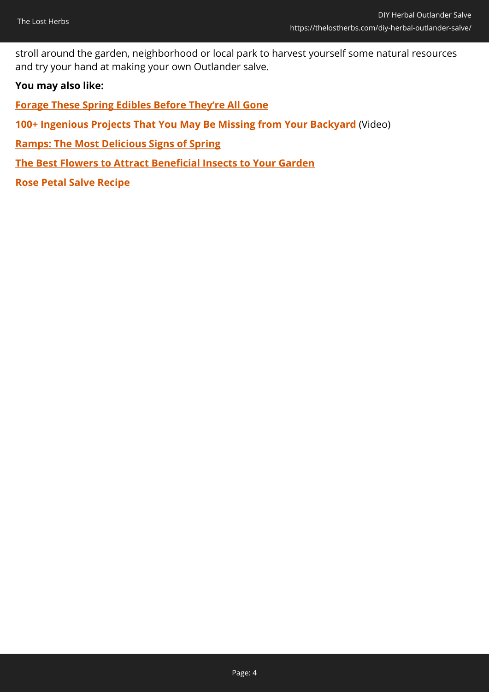stroll around the garden, neighborhood or local park to harvest yourself some natural resources and try your hand at making your own Outlander salve.

#### **You may also like:**

**[Forage These Spring Edibles Before They're All Gone](https://thelostherbs.com/forage-these-spring-edibles-before-theyre-all-gone/)**

**[100+ Ingenious Projects That You May Be Missing from Your Backyard](https://hop.clickbank.net/?affiliate=easycellar&vendor=sbackyard&tid=C02OutlanderSalveSSB)** (Video)

**[Ramps: The Most Delicious Signs of Spring](https://thelostherbs.com/ramps-the-most-delicious-signs-of-spring/)**

**[The Best Flowers to Attract Beneficial Insects to Your Garden](https://thelostherbs.com/the-best-flowers-to-attract-beneficial-insects-to-your-garden/)**

**[Rose Petal Salve Recipe](https://thelostherbs.com/rose-petal-salve-recipe/)**